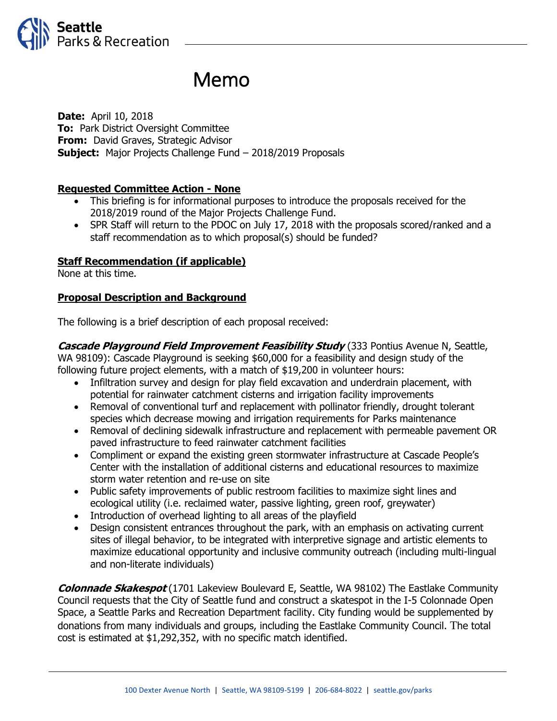

# Memo

**Date:** April 10, 2018 **To:** Park District Oversight Committee **From:** David Graves, Strategic Advisor **Subject:** Major Projects Challenge Fund – 2018/2019 Proposals

#### **Requested Committee Action - None**

- This briefing is for informational purposes to introduce the proposals received for the 2018/2019 round of the Major Projects Challenge Fund.
- SPR Staff will return to the PDOC on July 17, 2018 with the proposals scored/ranked and a staff recommendation as to which proposal(s) should be funded?

#### **Staff Recommendation (if applicable)**

None at this time.

#### **Proposal Description and Background**

The following is a brief description of each proposal received:

**Cascade Playground Field Improvement Feasibility Study** (333 Pontius Avenue N, Seattle, WA 98109): Cascade Playground is seeking \$60,000 for a feasibility and design study of the following future project elements, with a match of \$19,200 in volunteer hours:

- Infiltration survey and design for play field excavation and underdrain placement, with potential for rainwater catchment cisterns and irrigation facility improvements
- Removal of conventional turf and replacement with pollinator friendly, drought tolerant species which decrease mowing and irrigation requirements for Parks maintenance
- Removal of declining sidewalk infrastructure and replacement with permeable pavement OR paved infrastructure to feed rainwater catchment facilities
- Compliment or expand the existing green stormwater infrastructure at Cascade People's Center with the installation of additional cisterns and educational resources to maximize storm water retention and re-use on site
- Public safety improvements of public restroom facilities to maximize sight lines and ecological utility (i.e. reclaimed water, passive lighting, green roof, greywater)
- Introduction of overhead lighting to all areas of the playfield
- Design consistent entrances throughout the park, with an emphasis on activating current sites of illegal behavior, to be integrated with interpretive signage and artistic elements to maximize educational opportunity and inclusive community outreach (including multi-lingual and non-literate individuals)

**Colonnade Skakespot** (1701 Lakeview Boulevard E, Seattle, WA 98102) The Eastlake Community Council requests that the City of Seattle fund and construct a skatespot in the I-5 Colonnade Open Space, a Seattle Parks and Recreation Department facility. City funding would be supplemented by donations from many individuals and groups, including the Eastlake Community Council. The total cost is estimated at \$1,292,352, with no specific match identified.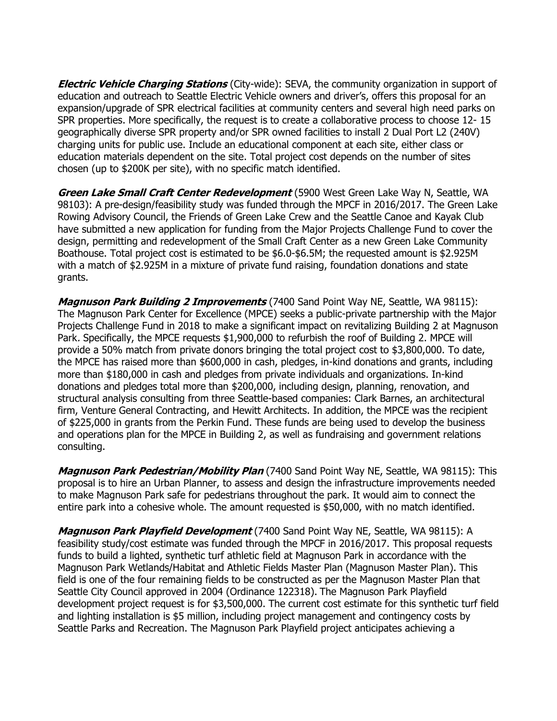**Electric Vehicle Charging Stations** (City-wide): SEVA, the community organization in support of education and outreach to Seattle Electric Vehicle owners and driver's, offers this proposal for an expansion/upgrade of SPR electrical facilities at community centers and several high need parks on SPR properties. More specifically, the request is to create a collaborative process to choose 12- 15 geographically diverse SPR property and/or SPR owned facilities to install 2 Dual Port L2 (240V) charging units for public use. Include an educational component at each site, either class or education materials dependent on the site. Total project cost depends on the number of sites chosen (up to \$200K per site), with no specific match identified.

**Green Lake Small Craft Center Redevelopment** (5900 West Green Lake Way N, Seattle, WA 98103): A pre-design/feasibility study was funded through the MPCF in 2016/2017. The Green Lake Rowing Advisory Council, the Friends of Green Lake Crew and the Seattle Canoe and Kayak Club have submitted a new application for funding from the Major Projects Challenge Fund to cover the design, permitting and redevelopment of the Small Craft Center as a new Green Lake Community Boathouse. Total project cost is estimated to be \$6.0-\$6.5M; the requested amount is \$2.925M with a match of \$2.925M in a mixture of private fund raising, foundation donations and state grants.

**Magnuson Park Building 2 Improvements** (7400 Sand Point Way NE, Seattle, WA 98115): The Magnuson Park Center for Excellence (MPCE) seeks a public-private partnership with the Major Projects Challenge Fund in 2018 to make a significant impact on revitalizing Building 2 at Magnuson Park. Specifically, the MPCE requests \$1,900,000 to refurbish the roof of Building 2. MPCE will provide a 50% match from private donors bringing the total project cost to \$3,800,000. To date, the MPCE has raised more than \$600,000 in cash, pledges, in-kind donations and grants, including more than \$180,000 in cash and pledges from private individuals and organizations. In-kind donations and pledges total more than \$200,000, including design, planning, renovation, and structural analysis consulting from three Seattle-based companies: Clark Barnes, an architectural firm, Venture General Contracting, and Hewitt Architects. In addition, the MPCE was the recipient of \$225,000 in grants from the Perkin Fund. These funds are being used to develop the business and operations plan for the MPCE in Building 2, as well as fundraising and government relations consulting.

**Magnuson Park Pedestrian/Mobility Plan** (7400 Sand Point Way NE, Seattle, WA 98115): This proposal is to hire an Urban Planner, to assess and design the infrastructure improvements needed to make Magnuson Park safe for pedestrians throughout the park. It would aim to connect the entire park into a cohesive whole. The amount requested is \$50,000, with no match identified.

**Magnuson Park Playfield Development** (7400 Sand Point Way NE, Seattle, WA 98115): A feasibility study/cost estimate was funded through the MPCF in 2016/2017. This proposal requests funds to build a lighted, synthetic turf athletic field at Magnuson Park in accordance with the Magnuson Park Wetlands/Habitat and Athletic Fields Master Plan (Magnuson Master Plan). This field is one of the four remaining fields to be constructed as per the Magnuson Master Plan that Seattle City Council approved in 2004 (Ordinance 122318). The Magnuson Park Playfield development project request is for \$3,500,000. The current cost estimate for this synthetic turf field and lighting installation is \$5 million, including project management and contingency costs by Seattle Parks and Recreation. The Magnuson Park Playfield project anticipates achieving a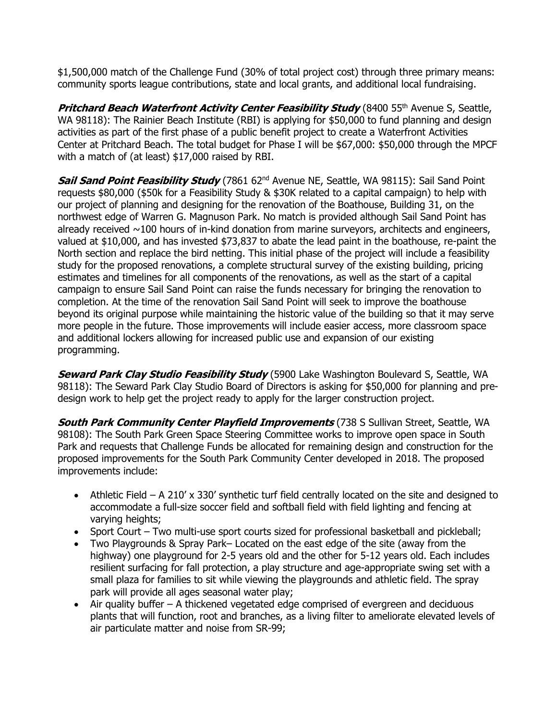\$1,500,000 match of the Challenge Fund (30% of total project cost) through three primary means: community sports league contributions, state and local grants, and additional local fundraising.

**Pritchard Beach Waterfront Activity Center Feasibility Study** (8400 55<sup>th</sup> Avenue S, Seattle, WA 98118): The Rainier Beach Institute (RBI) is applying for \$50,000 to fund planning and design activities as part of the first phase of a public benefit project to create a Waterfront Activities Center at Pritchard Beach. The total budget for Phase I will be \$67,000: \$50,000 through the MPCF with a match of (at least) \$17,000 raised by RBI.

**Sail Sand Point Feasibility Study** (7861 62<sup>nd</sup> Avenue NE, Seattle, WA 98115): Sail Sand Point requests \$80,000 (\$50k for a Feasibility Study & \$30K related to a capital campaign) to help with our project of planning and designing for the renovation of the Boathouse, Building 31, on the northwest edge of Warren G. Magnuson Park. No match is provided although Sail Sand Point has already received  $\sim$ 100 hours of in-kind donation from marine surveyors, architects and engineers, valued at \$10,000, and has invested \$73,837 to abate the lead paint in the boathouse, re-paint the North section and replace the bird netting. This initial phase of the project will include a feasibility study for the proposed renovations, a complete structural survey of the existing building, pricing estimates and timelines for all components of the renovations, as well as the start of a capital campaign to ensure Sail Sand Point can raise the funds necessary for bringing the renovation to completion. At the time of the renovation Sail Sand Point will seek to improve the boathouse beyond its original purpose while maintaining the historic value of the building so that it may serve more people in the future. Those improvements will include easier access, more classroom space and additional lockers allowing for increased public use and expansion of our existing programming.

**Seward Park Clay Studio Feasibility Study** (5900 Lake Washington Boulevard S, Seattle, WA 98118): The Seward Park Clay Studio Board of Directors is asking for \$50,000 for planning and predesign work to help get the project ready to apply for the larger construction project.

**South Park Community Center Playfield Improvements** (738 S Sullivan Street, Seattle, WA 98108): The South Park Green Space Steering Committee works to improve open space in South Park and requests that Challenge Funds be allocated for remaining design and construction for the proposed improvements for the South Park Community Center developed in 2018. The proposed improvements include:

- Athletic Field A 210' x 330' synthetic turf field centrally located on the site and designed to accommodate a full-size soccer field and softball field with field lighting and fencing at varying heights;
- Sport Court Two multi-use sport courts sized for professional basketball and pickleball;
- Two Playgrounds & Spray Park– Located on the east edge of the site (away from the highway) one playground for 2-5 years old and the other for 5-12 years old. Each includes resilient surfacing for fall protection, a play structure and age-appropriate swing set with a small plaza for families to sit while viewing the playgrounds and athletic field. The spray park will provide all ages seasonal water play;
- Air quality buffer A thickened vegetated edge comprised of evergreen and deciduous plants that will function, root and branches, as a living filter to ameliorate elevated levels of air particulate matter and noise from SR-99;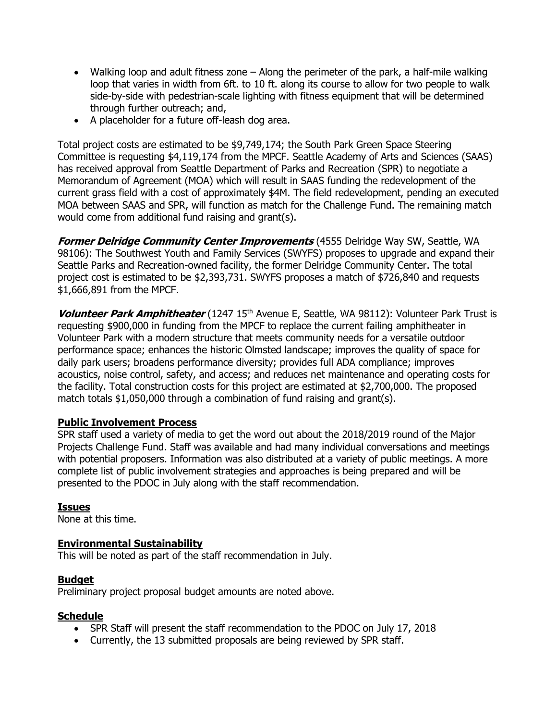- Walking loop and adult fitness zone Along the perimeter of the park, a half-mile walking loop that varies in width from 6ft. to 10 ft. along its course to allow for two people to walk side-by-side with pedestrian-scale lighting with fitness equipment that will be determined through further outreach; and,
- A placeholder for a future off-leash dog area.

Total project costs are estimated to be \$9,749,174; the South Park Green Space Steering Committee is requesting \$4,119,174 from the MPCF. Seattle Academy of Arts and Sciences (SAAS) has received approval from Seattle Department of Parks and Recreation (SPR) to negotiate a Memorandum of Agreement (MOA) which will result in SAAS funding the redevelopment of the current grass field with a cost of approximately \$4M. The field redevelopment, pending an executed MOA between SAAS and SPR, will function as match for the Challenge Fund. The remaining match would come from additional fund raising and grant(s).

**Former Delridge Community Center Improvements** (4555 Delridge Way SW, Seattle, WA 98106): The Southwest Youth and Family Services (SWYFS) proposes to upgrade and expand their Seattle Parks and Recreation-owned facility, the former Delridge Community Center. The total project cost is estimated to be \$2,393,731. SWYFS proposes a match of \$726,840 and requests \$1,666,891 from the MPCF.

Volunteer Park Amphitheater (1247 15<sup>th</sup> Avenue E, Seattle, WA 98112): Volunteer Park Trust is requesting \$900,000 in funding from the MPCF to replace the current failing amphitheater in Volunteer Park with a modern structure that meets community needs for a versatile outdoor performance space; enhances the historic Olmsted landscape; improves the quality of space for daily park users; broadens performance diversity; provides full ADA compliance; improves acoustics, noise control, safety, and access; and reduces net maintenance and operating costs for the facility. Total construction costs for this project are estimated at \$2,700,000. The proposed match totals \$1,050,000 through a combination of fund raising and grant(s).

## **Public Involvement Process**

SPR staff used a variety of media to get the word out about the 2018/2019 round of the Major Projects Challenge Fund. Staff was available and had many individual conversations and meetings with potential proposers. Information was also distributed at a variety of public meetings. A more complete list of public involvement strategies and approaches is being prepared and will be presented to the PDOC in July along with the staff recommendation.

#### **Issues**

None at this time.

## **Environmental Sustainability**

This will be noted as part of the staff recommendation in July.

## **Budget**

Preliminary project proposal budget amounts are noted above.

#### **Schedule**

- SPR Staff will present the staff recommendation to the PDOC on July 17, 2018
- Currently, the 13 submitted proposals are being reviewed by SPR staff.